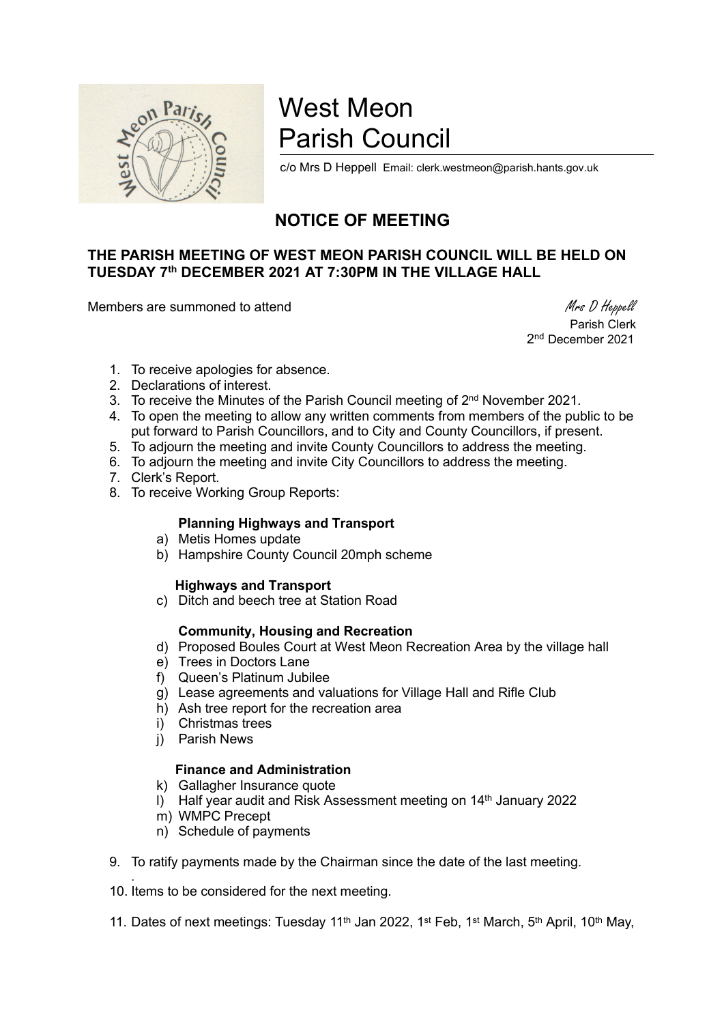

# West Meon Parish Council

c/o Mrs D Heppell Email: clerk.westmeon@parish.hants.gov.uk

## NOTICE OF MEETING

### THE PARISH MEETING OF WEST MEON PARISH COUNCIL WILL BE HELD ON TUESDAY 7th DECEMBER 2021 AT 7:30PM IN THE VILLAGE HALL

Members are summoned to attend Members are summoned to attend Members are summoned to attend Members of Members  $M$ rs D Heppell

 Parish Clerk 2 nd December 2021

- 1. To receive apologies for absence.
- 2. Declarations of interest.
- 3. To receive the Minutes of the Parish Council meeting of 2<sup>nd</sup> November 2021.
- 4. To open the meeting to allow any written comments from members of the public to be put forward to Parish Councillors, and to City and County Councillors, if present.
- 5. To adjourn the meeting and invite County Councillors to address the meeting.
- 6. To adjourn the meeting and invite City Councillors to address the meeting.
- 7. Clerk's Report.
- 8. To receive Working Group Reports:

#### Planning Highways and Transport

- a) Metis Homes update
- b) Hampshire County Council 20mph scheme

#### Highways and Transport

c) Ditch and beech tree at Station Road

#### Community, Housing and Recreation

- d) Proposed Boules Court at West Meon Recreation Area by the village hall
- e) Trees in Doctors Lane
- f) Queen's Platinum Jubilee
- g) Lease agreements and valuations for Village Hall and Rifle Club
- h) Ash tree report for the recreation area
- i) Christmas trees
- j) Parish News

#### Finance and Administration

- k) Gallagher Insurance quote
- l) Half year audit and Risk Assessment meeting on 14th January 2022
- m) WMPC Precept

.

- n) Schedule of payments
- 9. To ratify payments made by the Chairman since the date of the last meeting.
- 10. Items to be considered for the next meeting.
- 11. Dates of next meetings: Tuesday 11<sup>th</sup> Jan 2022, 1<sup>st</sup> Feb, 1<sup>st</sup> March, 5<sup>th</sup> April, 10<sup>th</sup> May,